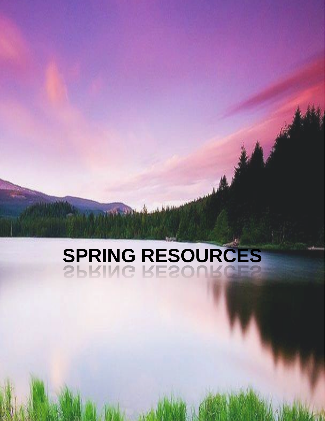# **SPRING RESOURCES**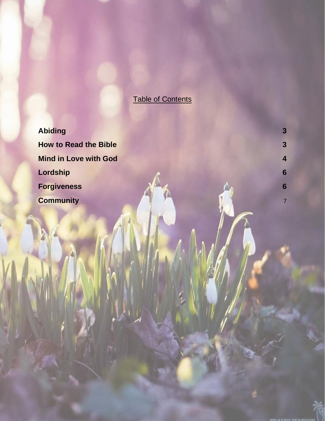## Table of Contents

**[Abiding](#page-2-0) 3 [How to Read the Bible](#page-2-1) 3 3 [Mind in Love with God](#page-3-0) 4 [Lordship](#page-5-0) 6 [Forgiveness](#page-5-1) After the CA [Community](#page-6-0)** 7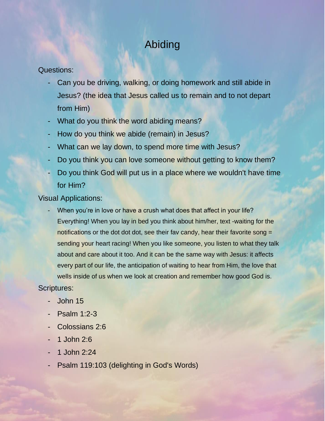## Abiding

#### <span id="page-2-0"></span>Questions:

- Can you be driving, walking, or doing homework and still abide in Jesus? (the idea that Jesus called us to remain and to not depart from Him)
- What do you think the word abiding means?
- How do you think we abide (remain) in Jesus?
- What can we lay down, to spend more time with Jesus?
- Do you think you can love someone without getting to know them?
- Do you think God will put us in a place where we wouldn't have time for Him?

Visual Applications:

When you're in love or have a crush what does that affect in your life? Everything! When you lay in bed you think about him/her, text -waiting for the notifications or the dot dot dot, see their fav candy, hear their favorite song = sending your heart racing! When you like someone, you listen to what they talk about and care about it too. And it can be the same way with Jesus: it affects every part of our life, the anticipation of waiting to hear from Him, the love that wells inside of us when we look at creation and remember how good God is.

- John 15
- Psalm 1:2-3
- Colossians 2:6
- 1 John 2:6
- 1 John 2:24
- <span id="page-2-1"></span>- Psalm 119:103 (delighting in God's Words)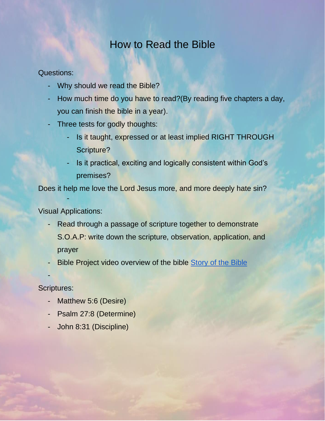## How to Read the Bible

Questions:

- Why should we read the Bible?
- How much time do you have to read?(By reading five chapters a day, you can finish the bible in a year).
- Three tests for godly thoughts:
	- Is it taught, expressed or at least implied RIGHT THROUGH Scripture?
	- Is it practical, exciting and logically consistent within God's premises?

Does it help me love the Lord Jesus more, and more deeply hate sin?

Visual Applications:

-

- Read through a passage of scripture together to demonstrate S.O.A.P: write down the scripture, observation, application, and prayer
- Bible Project video overview of the bible Story [of the Bible](https://www.youtube.com/watch?v=7_CGP-12AE0)
- -

- Matthew 5:6 (Desire)
- Psalm 27:8 (Determine)
- <span id="page-3-0"></span>- John 8:31 (Discipline)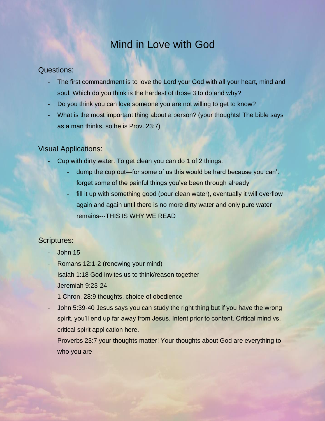## Mind in Love with God

#### Questions:

- The first commandment is to love the Lord your God with all your heart, mind and soul. Which do you think is the hardest of those 3 to do and why?
- Do you think you can love someone you are not willing to get to know?
- What is the most important thing about a person? (your thoughts! The bible says as a man thinks, so he is Prov. 23:7)

#### Visual Applications:

- Cup with dirty water. To get clean you can do 1 of 2 things:
	- dump the cup out—for some of us this would be hard because you can't forget some of the painful things you've been through already
	- fill it up with something good (pour clean water), eventually it will overflow again and again until there is no more dirty water and only pure water remains---THIS IS WHY WE READ

- John 15
- Romans 12:1-2 (renewing your mind)
- Isaiah 1:18 God invites us to think/reason together
- Jeremiah 9:23-24
- 1 Chron. 28:9 thoughts, choice of obedience
- John 5:39-40 Jesus says you can study the right thing but if you have the wrong spirit, you'll end up far away from Jesus. Intent prior to content. Critical mind vs. critical spirit application here.
- Proverbs 23:7 your thoughts matter! Your thoughts about God are everything to who you are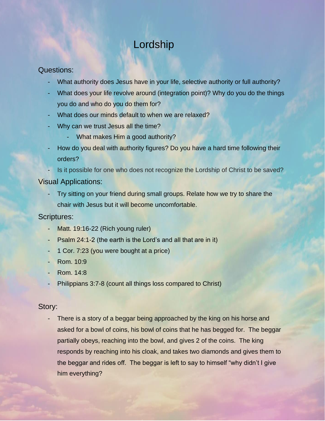## Lordship

#### <span id="page-5-0"></span>Questions:

- What authority does Jesus have in your life, selective authority or full authority?
- What does your life revolve around (integration point)? Why do you do the things you do and who do you do them for?
- What does our minds default to when we are relaxed?
- Why can we trust Jesus all the time?
	- What makes Him a good authority?
- How do you deal with authority figures? Do you have a hard time following their orders?
- Is it possible for one who does not recognize the Lordship of Christ to be saved?

#### Visual Applications:

Try sitting on your friend during small groups. Relate how we try to share the chair with Jesus but it will become uncomfortable.

#### Scriptures:

- Matt. 19:16-22 (Rich young ruler)
- Psalm 24:1-2 (the earth is the Lord's and all that are in it)
- 1 Cor. 7:23 (you were bought at a price)
- Rom. 10:9
- Rom. 14:8
- Philippians 3:7-8 (count all things loss compared to Christ)

#### Story:

<span id="page-5-1"></span>There is a story of a beggar being approached by the king on his horse and asked for a bowl of coins, his bowl of coins that he has begged for. The beggar partially obeys, reaching into the bowl, and gives 2 of the coins. The king responds by reaching into his cloak, and takes two diamonds and gives them to the beggar and rides off. The beggar is left to say to himself "why didn't I give him everything?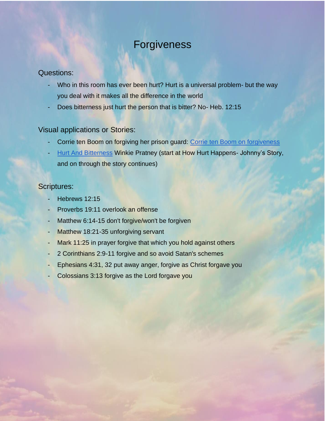## Forgiveness

#### Questions:

- Who in this room has ever been hurt? Hurt is a universal problem- but the way you deal with it makes all the difference in the world
- Does bitterness just hurt the person that is bitter? No- Heb. 12:15

#### Visual applications or Stories:

- Corrie ten Boom on forgiving her prison guard: [Corrie ten Boom on forgiveness](https://www.youtube.com/watch?v=WI3torV5BdE)
- [Hurt And Bitterness](https://www.shsu-xa.com/uploads/1/2/0/3/120320278/hurt-and-bitterness-by-pratney.pdf) Winkie Pratney (start at How Hurt Happens- Johnny's Story, and on through the story continues)

- Hebrews 12:15
- Proverbs 19:11 overlook an offense
- Matthew 6:14-15 don't forgive/won't be forgiven
- Matthew 18:21-35 unforgiving servant
- Mark 11:25 in prayer forgive that which you hold against others
- 2 Corinthians 2:9-11 forgive and so avoid Satan's schemes
- Ephesians 4:31, 32 put away anger, forgive as Christ forgave you
- <span id="page-6-0"></span>Colossians 3:13 forgive as the Lord forgave you